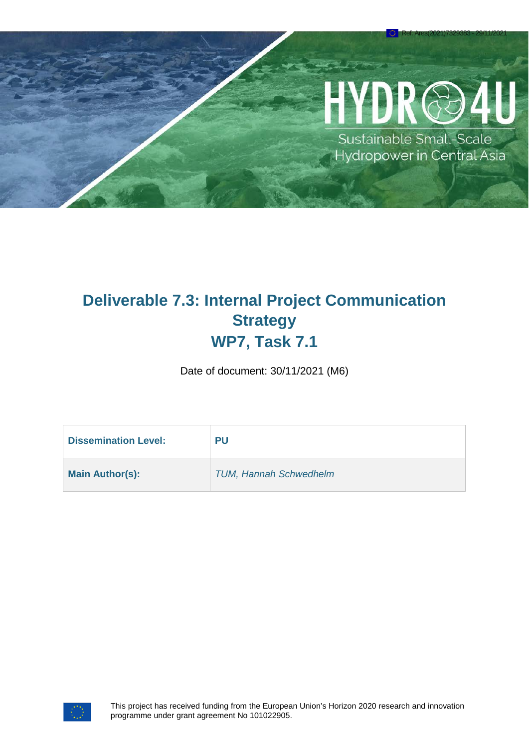# YDR@

Ref. Ares(2021)7329383 - 29/11/2021

Sustainable Small-Scale Hydropower in Central Asia

# **Deliverable 7.3: Internal Project Communication Strategy WP7, Task 7.1**

Date of document: 30/11/2021 (M6)

| <b>Dissemination Level:</b> | PU                            |
|-----------------------------|-------------------------------|
| <b>Main Author(s):</b>      | <b>TUM, Hannah Schwedhelm</b> |

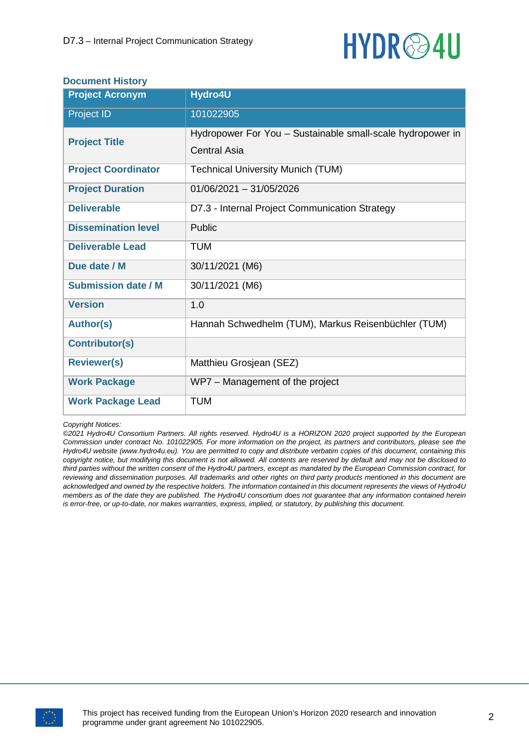

#### **Document History**

| <b>Project Acronym</b>     | Hydro4U                                                                           |
|----------------------------|-----------------------------------------------------------------------------------|
| Project ID                 | 101022905                                                                         |
| <b>Project Title</b>       | Hydropower For You - Sustainable small-scale hydropower in<br><b>Central Asia</b> |
|                            |                                                                                   |
| <b>Project Coordinator</b> | <b>Technical University Munich (TUM)</b>                                          |
| <b>Project Duration</b>    | $01/06/2021 - 31/05/2026$                                                         |
| <b>Deliverable</b>         | D7.3 - Internal Project Communication Strategy                                    |
| <b>Dissemination level</b> | Public                                                                            |
| <b>Deliverable Lead</b>    | <b>TUM</b>                                                                        |
| Due date / M               | 30/11/2021 (M6)                                                                   |
| <b>Submission date / M</b> | 30/11/2021 (M6)                                                                   |
| <b>Version</b>             | 1.0                                                                               |
| <b>Author(s)</b>           | Hannah Schwedhelm (TUM), Markus Reisenbüchler (TUM)                               |
| <b>Contributor(s)</b>      |                                                                                   |
| <b>Reviewer(s)</b>         | Matthieu Grosjean (SEZ)                                                           |
| <b>Work Package</b>        | WP7 - Management of the project                                                   |
| <b>Work Package Lead</b>   | <b>TUM</b>                                                                        |

#### *Copyright Notices:*

*©2021 Hydro4U Consortium Partners. All rights reserved. Hydro4U is a HORIZON 2020 project supported by the European Commission under contract No. 101022905. For more information on the project, its partners and contributors, please see the Hydro4U website (www.hydro4u.eu). You are permitted to copy and distribute verbatim copies of this document, containing this copyright notice, but modifying this document is not allowed. All contents are reserved by default and may not be disclosed to third parties without the written consent of the Hydro4U partners, except as mandated by the European Commission contract, for reviewing and dissemination purposes. All trademarks and other rights on third party products mentioned in this document are acknowledged and owned by the respective holders. The information contained in this document represents the views of Hydro4U members as of the date they are published. The Hydro4U consortium does not guarantee that any information contained herein is error-free, or up-to-date, nor makes warranties, express, implied, or statutory, by publishing this document.*

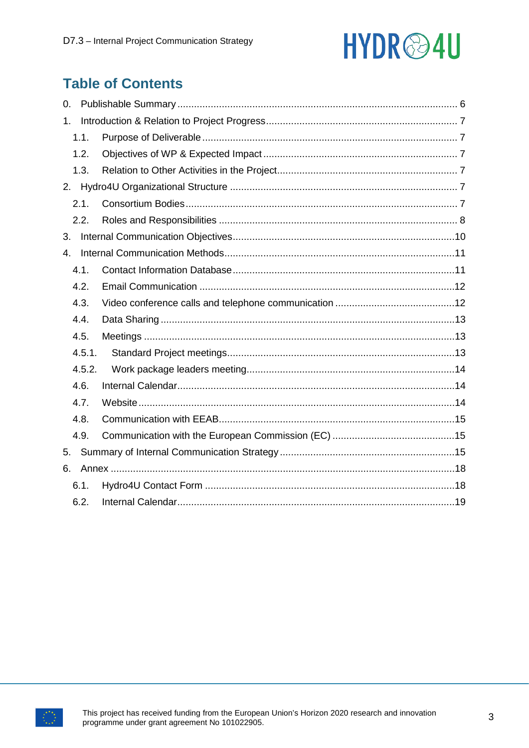# HYDR<sup>@4U</sup>

# **Table of Contents**

| 0.     |  |
|--------|--|
| 1.     |  |
| 1.1.   |  |
| 1.2.   |  |
| 1.3.   |  |
|        |  |
| 2.1.   |  |
| 2.2.   |  |
| 3.     |  |
| 4.     |  |
| 4.1.   |  |
| 4.2.   |  |
| 4.3.   |  |
| 4.4.   |  |
| 4.5.   |  |
| 4.5.1. |  |
| 4.5.2. |  |
| 4.6.   |  |
| 4.7.   |  |
| 4.8.   |  |
| 4.9.   |  |
| 5.     |  |
| 6.     |  |
| 6.1.   |  |
| 6.2.   |  |

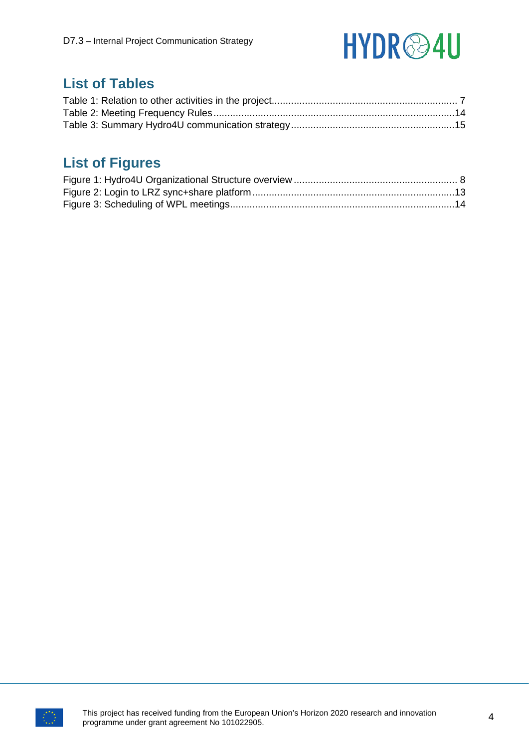

# **List of Tables**

# **List of Figures**

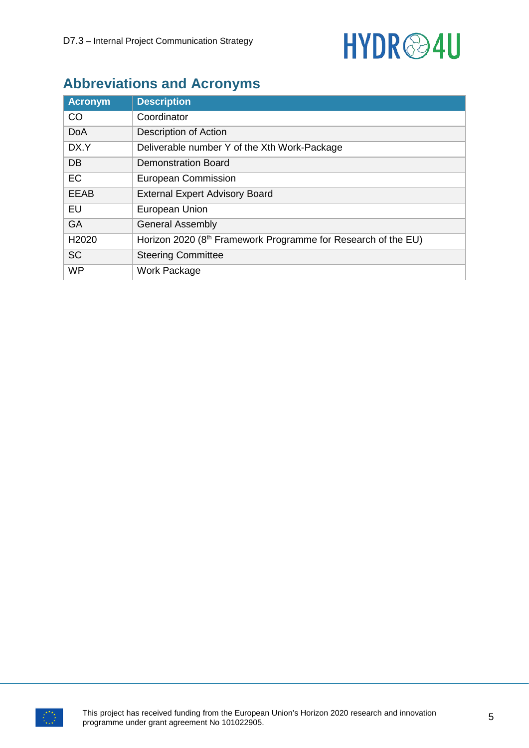

# **Abbreviations and Acronyms**

| <b>Acronym</b> | <b>Description</b>                                                        |
|----------------|---------------------------------------------------------------------------|
| CO             | Coordinator                                                               |
| <b>DoA</b>     | Description of Action                                                     |
| DX.Y           | Deliverable number Y of the Xth Work-Package                              |
| DB             | <b>Demonstration Board</b>                                                |
| EC             | European Commission                                                       |
| <b>EEAB</b>    | <b>External Expert Advisory Board</b>                                     |
| EU             | European Union                                                            |
| <b>GA</b>      | <b>General Assembly</b>                                                   |
| H2020          | Horizon 2020 (8 <sup>th</sup> Framework Programme for Research of the EU) |
| <b>SC</b>      | <b>Steering Committee</b>                                                 |
| <b>WP</b>      | <b>Work Package</b>                                                       |

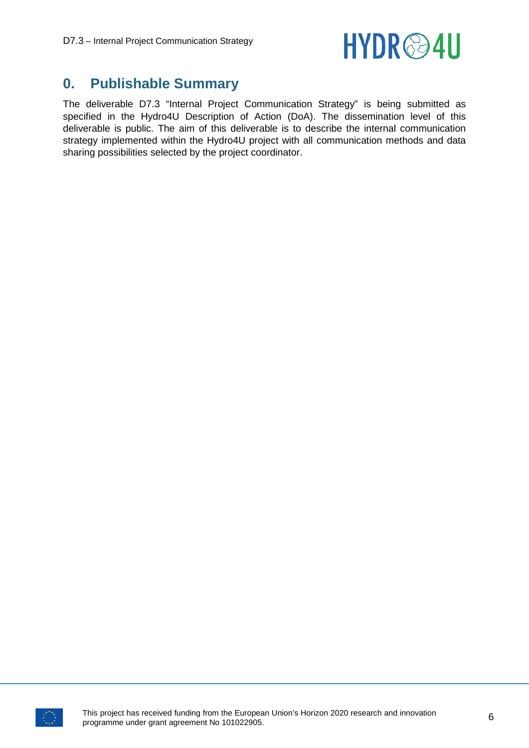

### <span id="page-5-0"></span>**0. Publishable Summary**

The deliverable D7.3 "Internal Project Communication Strategy" is being submitted as specified in the Hydro4U Description of Action (DoA). The dissemination level of this deliverable is public. The aim of this deliverable is to describe the internal communication strategy implemented within the Hydro4U project with all communication methods and data sharing possibilities selected by the project coordinator.

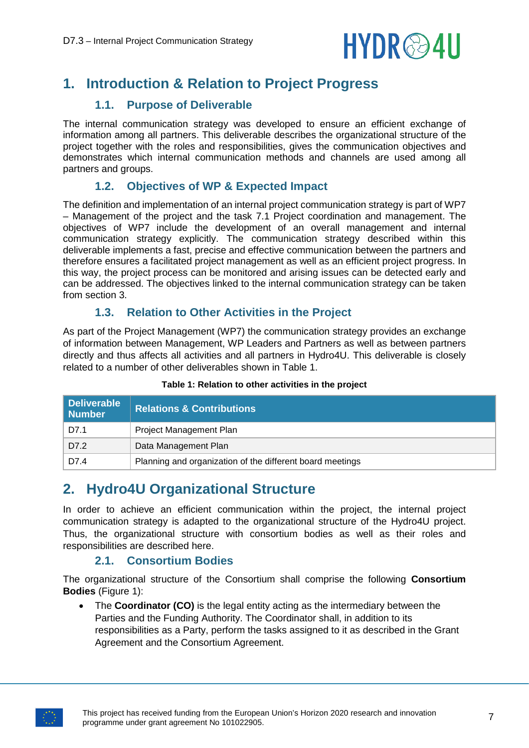

# <span id="page-6-0"></span>**1. Introduction & Relation to Project Progress**

#### **1.1. Purpose of Deliverable**

<span id="page-6-1"></span>The internal communication strategy was developed to ensure an efficient exchange of information among all partners. This deliverable describes the organizational structure of the project together with the roles and responsibilities, gives the communication objectives and demonstrates which internal communication methods and channels are used among all partners and groups.

#### **1.2. Objectives of WP & Expected Impact**

<span id="page-6-2"></span>The definition and implementation of an internal project communication strategy is part of WP7 – Management of the project and the task 7.1 Project coordination and management. The objectives of WP7 include the development of an overall management and internal communication strategy explicitly. The communication strategy described within this deliverable implements a fast, precise and effective communication between the partners and therefore ensures a facilitated project management as well as an efficient project progress. In this way, the project process can be monitored and arising issues can be detected early and can be addressed. The objectives linked to the internal communication strategy can be taken from section 3.

#### **1.3. Relation to Other Activities in the Project**

<span id="page-6-3"></span>As part of the Project Management (WP7) the communication strategy provides an exchange of information between Management, WP Leaders and Partners as well as between partners directly and thus affects all activities and all partners in Hydro4U. This deliverable is closely related to a number of other deliverables shown in Table 1.

<span id="page-6-6"></span>

| Deliverable<br>Number | <b>Relations &amp; Contributions</b>                      |
|-----------------------|-----------------------------------------------------------|
| D7.1                  | Project Management Plan                                   |
| D7.2                  | Data Management Plan                                      |
| D7.4                  | Planning and organization of the different board meetings |

#### **Table 1: Relation to other activities in the project**

### <span id="page-6-4"></span>**2. Hydro4U Organizational Structure**

In order to achieve an efficient communication within the project, the internal project communication strategy is adapted to the organizational structure of the Hydro4U project. Thus, the organizational structure with consortium bodies as well as their roles and responsibilities are described here.

#### **2.1. Consortium Bodies**

<span id="page-6-5"></span>The organizational structure of the Consortium shall comprise the following **Consortium Bodies** (Figure 1):

• The **Coordinator (CO)** is the legal entity acting as the intermediary between the Parties and the Funding Authority. The Coordinator shall, in addition to its responsibilities as a Party, perform the tasks assigned to it as described in the Grant Agreement and the Consortium Agreement.

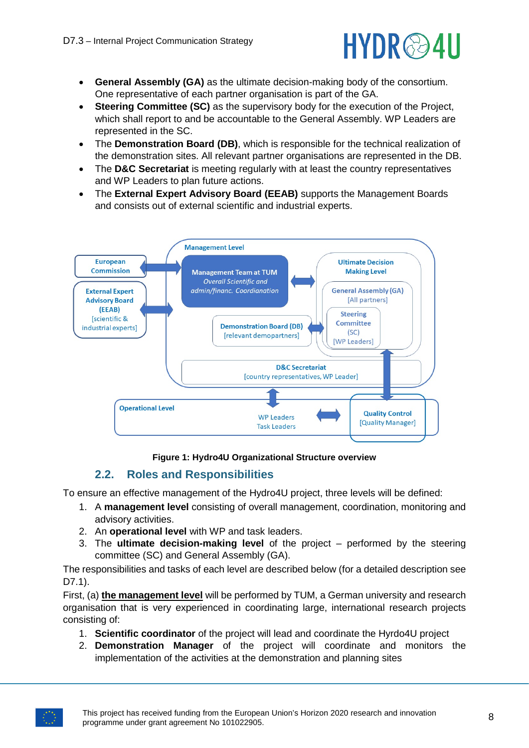

- **General Assembly (GA)** as the ultimate decision-making body of the consortium. One representative of each partner organisation is part of the GA.
- **Steering Committee (SC)** as the supervisory body for the execution of the Project, which shall report to and be accountable to the General Assembly. WP Leaders are represented in the SC.
- The **Demonstration Board (DB)**, which is responsible for the technical realization of the demonstration sites. All relevant partner organisations are represented in the DB.
- The **D&C Secretariat** is meeting regularly with at least the country representatives and WP Leaders to plan future actions.
- The **External Expert Advisory Board (EEAB)** supports the Management Boards and consists out of external scientific and industrial experts.



#### **Figure 1: Hydro4U Organizational Structure overview**

#### <span id="page-7-1"></span>**2.2. Roles and Responsibilities**

<span id="page-7-0"></span>To ensure an effective management of the Hydro4U project, three levels will be defined:

- 1. A **management level** consisting of overall management, coordination, monitoring and advisory activities.
- 2. An **operational level** with WP and task leaders.
- 3. The **ultimate decision-making level** of the project performed by the steering committee (SC) and General Assembly (GA).

The responsibilities and tasks of each level are described below (for a detailed description see D7.1).

First, (a) **the management level** will be performed by TUM, a German university and research organisation that is very experienced in coordinating large, international research projects consisting of:

- 1. **Scientific coordinator** of the project will lead and coordinate the Hyrdo4U project
- 2. **Demonstration Manager** of the project will coordinate and monitors the implementation of the activities at the demonstration and planning sites

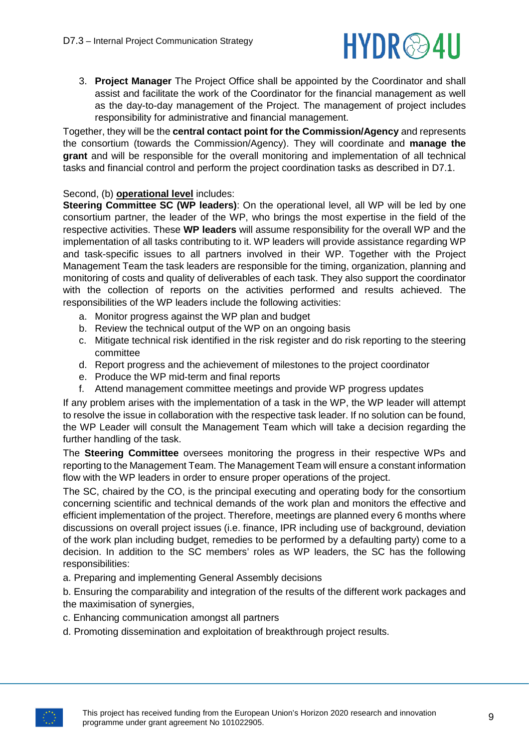

3. **Project Manager** The Project Office shall be appointed by the Coordinator and shall assist and facilitate the work of the Coordinator for the financial management as well as the day-to-day management of the Project. The management of project includes responsibility for administrative and financial management.

Together, they will be the **central contact point for the Commission/Agency** and represents the consortium (towards the Commission/Agency). They will coordinate and **manage the grant** and will be responsible for the overall monitoring and implementation of all technical tasks and financial control and perform the project coordination tasks as described in D7.1.

#### Second, (b) **operational level** includes:

**Steering Committee SC (WP leaders)**: On the operational level, all WP will be led by one consortium partner, the leader of the WP, who brings the most expertise in the field of the respective activities. These **WP leaders** will assume responsibility for the overall WP and the implementation of all tasks contributing to it. WP leaders will provide assistance regarding WP and task-specific issues to all partners involved in their WP. Together with the Project Management Team the task leaders are responsible for the timing, organization, planning and monitoring of costs and quality of deliverables of each task. They also support the coordinator with the collection of reports on the activities performed and results achieved. The responsibilities of the WP leaders include the following activities:

- a. Monitor progress against the WP plan and budget
- b. Review the technical output of the WP on an ongoing basis
- c. Mitigate technical risk identified in the risk register and do risk reporting to the steering committee
- d. Report progress and the achievement of milestones to the project coordinator
- e. Produce the WP mid-term and final reports
- f. Attend management committee meetings and provide WP progress updates

If any problem arises with the implementation of a task in the WP, the WP leader will attempt to resolve the issue in collaboration with the respective task leader. If no solution can be found, the WP Leader will consult the Management Team which will take a decision regarding the further handling of the task.

The **Steering Committee** oversees monitoring the progress in their respective WPs and reporting to the Management Team. The Management Team will ensure a constant information flow with the WP leaders in order to ensure proper operations of the project.

The SC, chaired by the CO, is the principal executing and operating body for the consortium concerning scientific and technical demands of the work plan and monitors the effective and efficient implementation of the project. Therefore, meetings are planned every 6 months where discussions on overall project issues (i.e. finance, IPR including use of background, deviation of the work plan including budget, remedies to be performed by a defaulting party) come to a decision. In addition to the SC members' roles as WP leaders, the SC has the following responsibilities:

a. Preparing and implementing General Assembly decisions

b. Ensuring the comparability and integration of the results of the different work packages and the maximisation of synergies,

- c. Enhancing communication amongst all partners
- d. Promoting dissemination and exploitation of breakthrough project results.

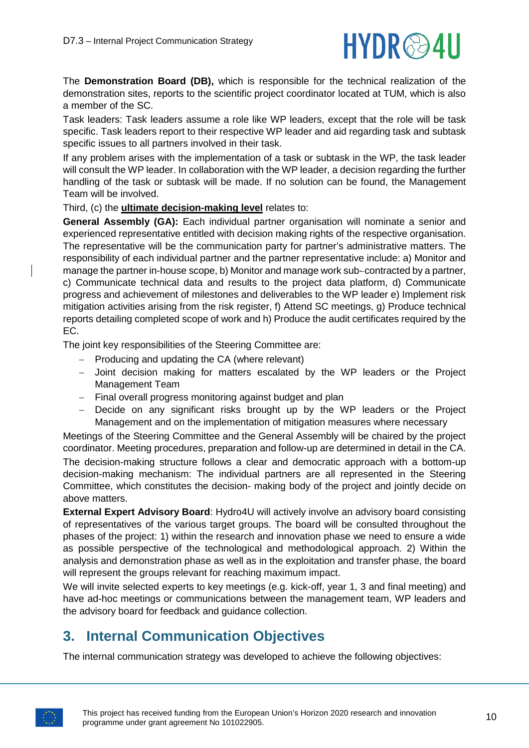

The **Demonstration Board (DB),** which is responsible for the technical realization of the demonstration sites, reports to the scientific project coordinator located at TUM, which is also a member of the SC.

Task leaders: Task leaders assume a role like WP leaders, except that the role will be task specific. Task leaders report to their respective WP leader and aid regarding task and subtask specific issues to all partners involved in their task.

If any problem arises with the implementation of a task or subtask in the WP, the task leader will consult the WP leader. In collaboration with the WP leader, a decision regarding the further handling of the task or subtask will be made. If no solution can be found, the Management Team will be involved.

Third, (c) the **ultimate decision-making level** relates to:

**General Assembly (GA):** Each individual partner organisation will nominate a senior and experienced representative entitled with decision making rights of the respective organisation. The representative will be the communication party for partner's administrative matters. The responsibility of each individual partner and the partner representative include: a) Monitor and manage the partner in-house scope, b) Monitor and manage work sub- contracted by a partner, c) Communicate technical data and results to the project data platform, d) Communicate progress and achievement of milestones and deliverables to the WP leader e) Implement risk mitigation activities arising from the risk register, f) Attend SC meetings, g) Produce technical reports detailing completed scope of work and h) Produce the audit certificates required by the EC.

The joint key responsibilities of the Steering Committee are:

- − Producing and updating the CA (where relevant)
- − Joint decision making for matters escalated by the WP leaders or the Project Management Team
- − Final overall progress monitoring against budget and plan
- − Decide on any significant risks brought up by the WP leaders or the Project Management and on the implementation of mitigation measures where necessary

Meetings of the Steering Committee and the General Assembly will be chaired by the project coordinator. Meeting procedures, preparation and follow-up are determined in detail in the CA. The decision-making structure follows a clear and democratic approach with a bottom-up decision-making mechanism: The individual partners are all represented in the Steering Committee, which constitutes the decision- making body of the project and jointly decide on above matters.

**External Expert Advisory Board**: Hydro4U will actively involve an advisory board consisting of representatives of the various target groups. The board will be consulted throughout the phases of the project: 1) within the research and innovation phase we need to ensure a wide as possible perspective of the technological and methodological approach. 2) Within the analysis and demonstration phase as well as in the exploitation and transfer phase, the board will represent the groups relevant for reaching maximum impact.

We will invite selected experts to key meetings (e.g. kick-off, year 1, 3 and final meeting) and have ad-hoc meetings or communications between the management team, WP leaders and the advisory board for feedback and guidance collection.

## <span id="page-9-0"></span>**3. Internal Communication Objectives**

The internal communication strategy was developed to achieve the following objectives:

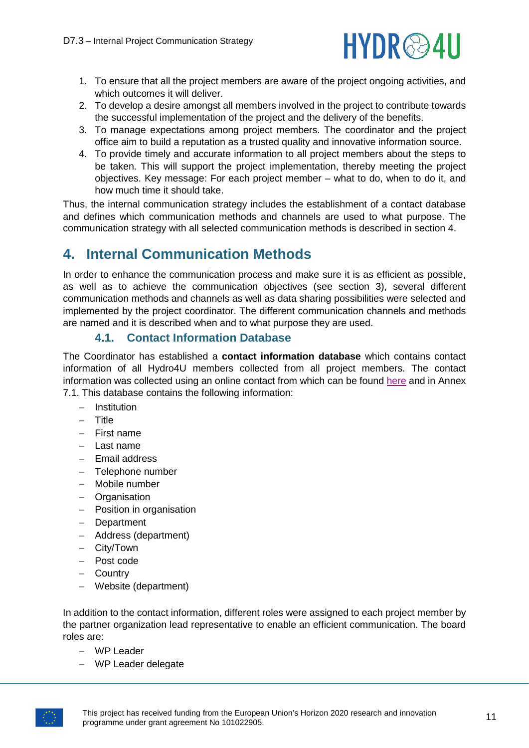

- 1. To ensure that all the project members are aware of the project ongoing activities, and which outcomes it will deliver.
- 2. To develop a desire amongst all members involved in the project to contribute towards the successful implementation of the project and the delivery of the benefits.
- 3. To manage expectations among project members. The coordinator and the project office aim to build a reputation as a trusted quality and innovative information source.
- 4. To provide timely and accurate information to all project members about the steps to be taken. This will support the project implementation, thereby meeting the project objectives. Key message: For each project member – what to do, when to do it, and how much time it should take.

Thus, the internal communication strategy includes the establishment of a contact database and defines which communication methods and channels are used to what purpose. The communication strategy with all selected communication methods is described in section 4.

# <span id="page-10-0"></span>**4. Internal Communication Methods**

In order to enhance the communication process and make sure it is as efficient as possible, as well as to achieve the communication objectives (see section 3), several different communication methods and channels as well as data sharing possibilities were selected and implemented by the project coordinator. The different communication channels and methods are named and it is described when and to what purpose they are used.

#### **4.1. Contact Information Database**

<span id="page-10-1"></span>The Coordinator has established a **contact information database** which contains contact information of all Hydro4U members collected from all project members. The contact information was collected using an online contact from which can be found [here](https://wiki.tum.de/display/bguwb/Hydro4U+Contact+form) and in Annex 7.1. This database contains the following information:

- − Institution
- − Title
- − First name
- − Last name
- − Email address
- − Telephone number
- − Mobile number
- − Organisation
- − Position in organisation
- − Department
- − Address (department)
- − City/Town
- − Post code
- − Country
- − Website (department)

In addition to the contact information, different roles were assigned to each project member by the partner organization lead representative to enable an efficient communication. The board roles are:

- − WP Leader
- − WP Leader delegate

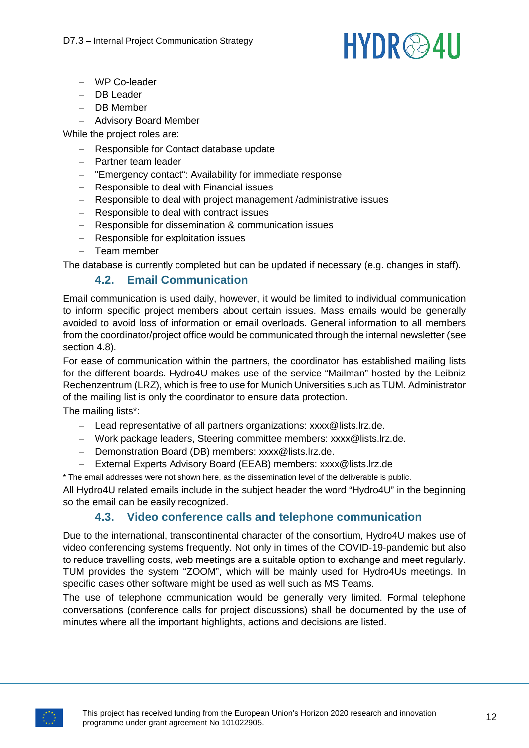# **HYDR**@4U

- − WP Co-leader
- − DB Leader
- − DB Member
- − Advisory Board Member

While the project roles are:

- − Responsible for Contact database update
- − Partner team leader
- − "Emergency contact": Availability for immediate response
- − Responsible to deal with Financial issues
- − Responsible to deal with project management /administrative issues
- − Responsible to deal with contract issues
- − Responsible for dissemination & communication issues
- − Responsible for exploitation issues
- − Team member

<span id="page-11-0"></span>The database is currently completed but can be updated if necessary (e.g. changes in staff).

#### **4.2. Email Communication**

Email communication is used daily, however, it would be limited to individual communication to inform specific project members about certain issues. Mass emails would be generally avoided to avoid loss of information or email overloads. General information to all members from the coordinator/project office would be communicated through the internal newsletter (see section 4.8).

For ease of communication within the partners, the coordinator has established mailing lists for the different boards. Hydro4U makes use of the service "Mailman" hosted by the Leibniz Rechenzentrum (LRZ), which is free to use for Munich Universities such as TUM. Administrator of the mailing list is only the coordinator to ensure data protection.

The mailing lists\*:

- − Lead representative of all partners organizations: xxxx@lists.lrz.de.
- − Work package leaders, Steering committee members: xxxx@lists.lrz.de.
- − Demonstration Board (DB) members: xxxx@lists.lrz.de.
- − External Experts Advisory Board (EEAB) members: xxxx@lists.lrz.de

\* The email addresses were not shown here, as the dissemination level of the deliverable is public.

All Hydro4U related emails include in the subject header the word "Hydro4U" in the beginning so the email can be easily recognized.

#### **4.3. Video conference calls and telephone communication**

<span id="page-11-1"></span>Due to the international, transcontinental character of the consortium, Hydro4U makes use of video conferencing systems frequently. Not only in times of the COVID-19-pandemic but also to reduce travelling costs, web meetings are a suitable option to exchange and meet regularly. TUM provides the system "ZOOM", which will be mainly used for Hydro4Us meetings. In specific cases other software might be used as well such as MS Teams.

The use of telephone communication would be generally very limited. Formal telephone conversations (conference calls for project discussions) shall be documented by the use of minutes where all the important highlights, actions and decisions are listed.

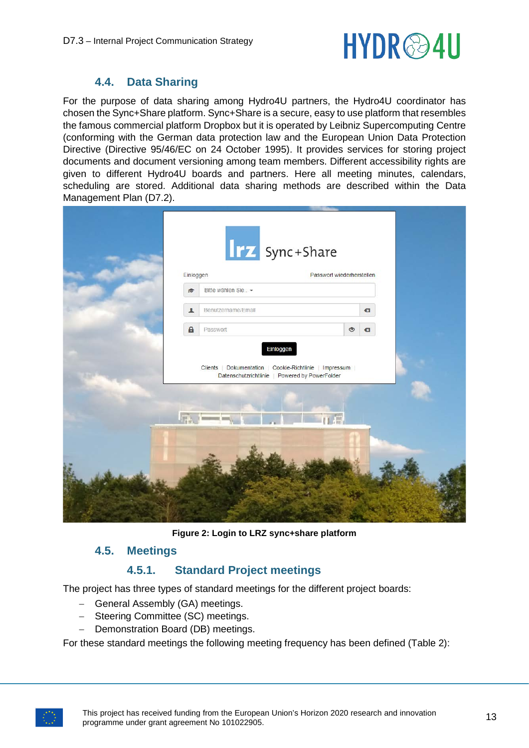

#### **4.4. Data Sharing**

<span id="page-12-0"></span>For the purpose of data sharing among Hydro4U partners, the Hydro4U coordinator has chosen the Sync+Share platform. Sync+Share is a secure, easy to use platform that resembles the famous commercial platform Dropbox but it is operated by Leibniz Supercomputing Centre (conforming with the German data protection law and the European Union Data Protection Directive (Directive 95/46/EC on 24 October 1995). It provides services for storing project documents and document versioning among team members. Different accessibility rights are given to different Hydro4U boards and partners. Here all meeting minutes, calendars, scheduling are stored. Additional data sharing methods are described within the Data Management Plan (D7.2).

| Einloggen                | <b>Irz</b> Sync+Share<br>Passwort wiederherstellen                                                                         |                |
|--------------------------|----------------------------------------------------------------------------------------------------------------------------|----------------|
| Bitte wählen Sie -<br>彦  |                                                                                                                            |                |
| Benutzername/Email       |                                                                                                                            | $\mathbf{G}$   |
| $\mathbf{a}$<br>Passwort | $\circ$                                                                                                                    | $\blacksquare$ |
|                          | Clients   Dokumentation   Cookie-Richtlinie   Impressum  <br>Datenschutzrichtlinie   Powered by PowerFolder<br><b>Tuan</b> |                |
|                          |                                                                                                                            |                |

**Figure 2: Login to LRZ sync+share platform**

#### <span id="page-12-3"></span><span id="page-12-1"></span>**4.5. Meetings**

#### **4.5.1. Standard Project meetings**

<span id="page-12-2"></span>The project has three types of standard meetings for the different project boards:

- − General Assembly (GA) meetings.
- − Steering Committee (SC) meetings.
- − Demonstration Board (DB) meetings.

For these standard meetings the following meeting frequency has been defined (Table 2):

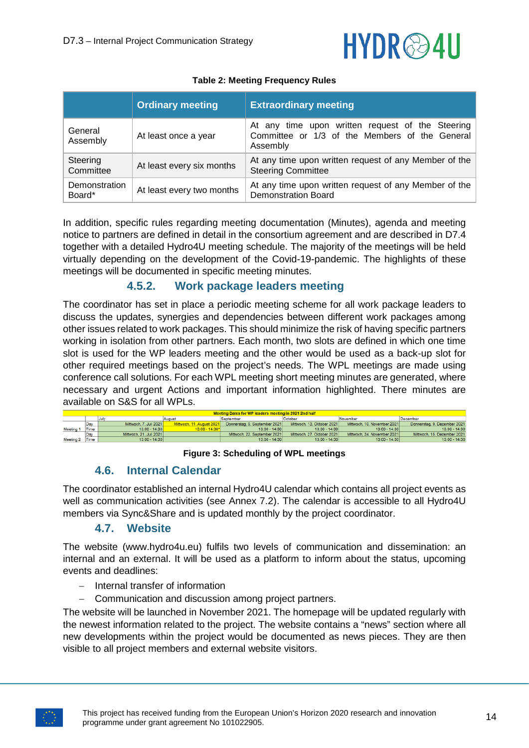# **HYDR**@4U

<span id="page-13-3"></span>

|                         | <b>Ordinary meeting</b>   | <b>Extraordinary meeting</b>                                                                                   |
|-------------------------|---------------------------|----------------------------------------------------------------------------------------------------------------|
| General<br>Assembly     | At least once a year      | At any time upon written request of the Steering<br>Committee or 1/3 of the Members of the General<br>Assembly |
| Steering<br>Committee   | At least every six months | At any time upon written request of any Member of the<br><b>Steering Committee</b>                             |
| Demonstration<br>Board* | At least every two months | At any time upon written request of any Member of the<br><b>Demonstration Board</b>                            |

#### **Table 2: Meeting Frequency Rules**

In addition, specific rules regarding meeting documentation (Minutes), agenda and meeting notice to partners are defined in detail in the consortium agreement and are described in D7.4 together with a detailed Hydro4U meeting schedule. The majority of the meetings will be held virtually depending on the development of the Covid-19-pandemic. The highlights of these meetings will be documented in specific meeting minutes.

#### **4.5.2. Work package leaders meeting**

<span id="page-13-0"></span>The coordinator has set in place a periodic meeting scheme for all work package leaders to discuss the updates, synergies and dependencies between different work packages among other issues related to work packages. This should minimize the risk of having specific partners working in isolation from other partners. Each month, two slots are defined in which one time slot is used for the WP leaders meeting and the other would be used as a back-up slot for other required meetings based on the project's needs. The WPL meetings are made using conference call solutions. For each WPL meeting short meeting minutes are generated, where necessary and urgent Actions and important information highlighted. There minutes are available on S&S for all WPLs.

<span id="page-13-4"></span>

| Meeting Dates for WP leaders meeting in 2021 2nd half |      |                         |                           |                               |                            |                             |                              |  |
|-------------------------------------------------------|------|-------------------------|---------------------------|-------------------------------|----------------------------|-----------------------------|------------------------------|--|
|                                                       |      |                         | August                    | September                     | October                    | November                    | December                     |  |
|                                                       | Day  | Mittwoch. 7. Juli 2021  | Mittwoch, 11. August 2021 | Donnerstag, 9. September 2021 | Mittwoch, 13. Oktober 2021 | Mittwoch, 10. November 2021 | Donnerstag, 9. Dezember 2021 |  |
| Meeting                                               | Time | $13:00 - 14:30$         | 13:00 - 14:30*            | $13:00 - 14:30$               | $13:00 - 14:30$            | $13:00 - 14:30$             | 13:00 - 14:30                |  |
|                                                       | Day  | Mittwoch. 21. Juli 2021 |                           | Mittwoch. 22. September 2021  | Mittwoch, 27. Oktober 2021 | Mittwoch. 24. November 2021 | Mittwoch, 15. Dezember 2021  |  |
| Meeting 2 Time                                        |      | $13:00 - 14:30$         |                           | $13:00 - 14:30$               | $13:00 - 14:30$            | $13:00 - 14:30$             | $13:00 - 14:30$              |  |
|                                                       |      |                         |                           |                               |                            |                             |                              |  |

**Figure 3: Scheduling of WPL meetings**

#### **4.6. Internal Calendar**

<span id="page-13-1"></span>The coordinator established an internal Hydro4U calendar which contains all project events as well as communication activities (see Annex 7.2). The calendar is accessible to all Hydro4U members via Sync&Share and is updated monthly by the project coordinator.

#### **4.7. Website**

<span id="page-13-2"></span>The website (www.hydro4u.eu) fulfils two levels of communication and dissemination: an internal and an external. It will be used as a platform to inform about the status, upcoming events and deadlines:

- − Internal transfer of information
- − Communication and discussion among project partners.

The website will be launched in November 2021. The homepage will be updated regularly with the newest information related to the project. The website contains a "news" section where all new developments within the project would be documented as news pieces. They are then visible to all project members and external website visitors.

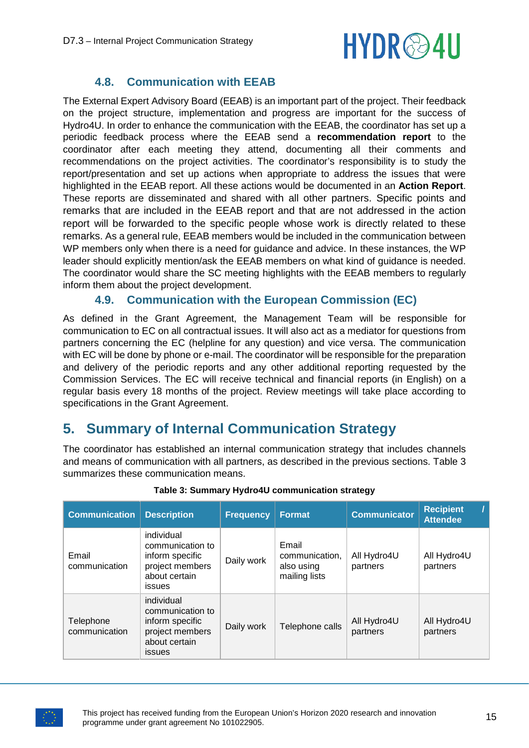# HYDR@4U

#### **4.8. Communication with EEAB**

<span id="page-14-0"></span>The External Expert Advisory Board (EEAB) is an important part of the project. Their feedback on the project structure, implementation and progress are important for the success of Hydro4U. In order to enhance the communication with the EEAB, the coordinator has set up a periodic feedback process where the EEAB send a **recommendation report** to the coordinator after each meeting they attend, documenting all their comments and recommendations on the project activities. The coordinator's responsibility is to study the report/presentation and set up actions when appropriate to address the issues that were highlighted in the EEAB report. All these actions would be documented in an **Action Report**. These reports are disseminated and shared with all other partners. Specific points and remarks that are included in the EEAB report and that are not addressed in the action report will be forwarded to the specific people whose work is directly related to these remarks. As a general rule, EEAB members would be included in the communication between WP members only when there is a need for guidance and advice. In these instances, the WP leader should explicitly mention/ask the EEAB members on what kind of guidance is needed. The coordinator would share the SC meeting highlights with the EEAB members to regularly inform them about the project development.

#### **4.9. Communication with the European Commission (EC)**

<span id="page-14-1"></span>As defined in the Grant Agreement, the Management Team will be responsible for communication to EC on all contractual issues. It will also act as a mediator for questions from partners concerning the EC (helpline for any question) and vice versa. The communication with EC will be done by phone or e-mail. The coordinator will be responsible for the preparation and delivery of the periodic reports and any other additional reporting requested by the Commission Services. The EC will receive technical and financial reports (in English) on a regular basis every 18 months of the project. Review meetings will take place according to specifications in the Grant Agreement.

### <span id="page-14-2"></span>**5. Summary of Internal Communication Strategy**

The coordinator has established an internal communication strategy that includes channels and means of communication with all partners, as described in the previous sections. Table 3 summarizes these communication means.

<span id="page-14-3"></span>

| <b>Communication</b>       | <b>Description</b>                                                                                     | <b>Frequency</b> | <b>Format</b>                                          | <b>Communicator</b>     | <b>Recipient</b><br><b>Attendee</b> |
|----------------------------|--------------------------------------------------------------------------------------------------------|------------------|--------------------------------------------------------|-------------------------|-------------------------------------|
| Email<br>communication     | individual<br>communication to<br>inform specific<br>project members<br>about certain<br><i>issues</i> | Daily work       | Email<br>communication,<br>also using<br>mailing lists | All Hydro4U<br>partners | All Hydro4U<br>partners             |
| Telephone<br>communication | individual<br>communication to<br>inform specific<br>project members<br>about certain<br><i>issues</i> | Daily work       | Telephone calls                                        | All Hydro4U<br>partners | All Hydro4U<br>partners             |

#### **Table 3: Summary Hydro4U communication strategy**

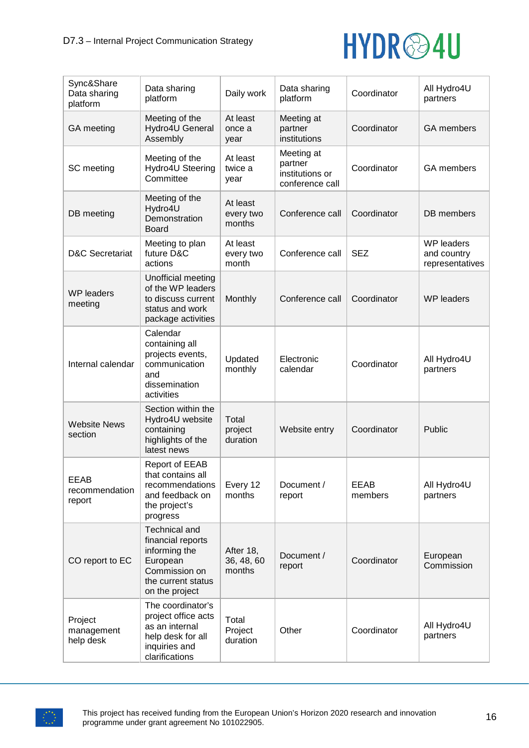

| Sync&Share<br>Data sharing<br>platform  | Data sharing<br>platform                                                                                                        | Daily work                        | Data sharing<br>platform                                    | Coordinator     | All Hydro4U<br>partners                             |
|-----------------------------------------|---------------------------------------------------------------------------------------------------------------------------------|-----------------------------------|-------------------------------------------------------------|-----------------|-----------------------------------------------------|
| GA meeting                              | Meeting of the<br>Hydro4U General<br>Assembly                                                                                   | At least<br>once a<br>year        | Meeting at<br>partner<br>institutions                       | Coordinator     | <b>GA</b> members                                   |
| SC meeting                              | Meeting of the<br>Hydro4U Steering<br>Committee                                                                                 | At least<br>twice a<br>year       | Meeting at<br>partner<br>institutions or<br>conference call | Coordinator     | GA members                                          |
| DB meeting                              | Meeting of the<br>Hydro4U<br>Demonstration<br>Board                                                                             | At least<br>every two<br>months   | Conference call                                             | Coordinator     | DB members                                          |
| <b>D&amp;C Secretariat</b>              | Meeting to plan<br>future D&C<br>actions                                                                                        | At least<br>every two<br>month    | Conference call                                             | <b>SEZ</b>      | <b>WP</b> leaders<br>and country<br>representatives |
| <b>WP</b> leaders<br>meeting            | Unofficial meeting<br>of the WP leaders<br>to discuss current<br>status and work<br>package activities                          | Monthly                           | Conference call                                             | Coordinator     | <b>WP</b> leaders                                   |
| Internal calendar                       | Calendar<br>containing all<br>projects events,<br>communication<br>and<br>dissemination<br>activities                           | Updated<br>monthly                | Electronic<br>calendar                                      | Coordinator     | All Hydro4U<br>partners                             |
| <b>Website News</b><br>section          | Section within the<br>Hydro4U website<br>containing<br>highlights of the<br>latest news                                         | Total<br>project<br>duration      | Website entry                                               | Coordinator     | Public                                              |
| <b>EEAB</b><br>recommendation<br>report | <b>Report of EEAB</b><br>that contains all<br>recommendations<br>and feedback on<br>the project's<br>progress                   | Every 12<br>months                | Document /<br>report                                        | EEAB<br>members | All Hydro4U<br>partners                             |
| CO report to EC                         | <b>Technical and</b><br>financial reports<br>informing the<br>European<br>Commission on<br>the current status<br>on the project | After 18,<br>36, 48, 60<br>months | Document /<br>report                                        | Coordinator     | European<br>Commission                              |
| Project<br>management<br>help desk      | The coordinator's<br>project office acts<br>as an internal<br>help desk for all<br>inquiries and<br>clarifications              | Total<br>Project<br>duration      | Other                                                       | Coordinator     | All Hydro4U<br>partners                             |

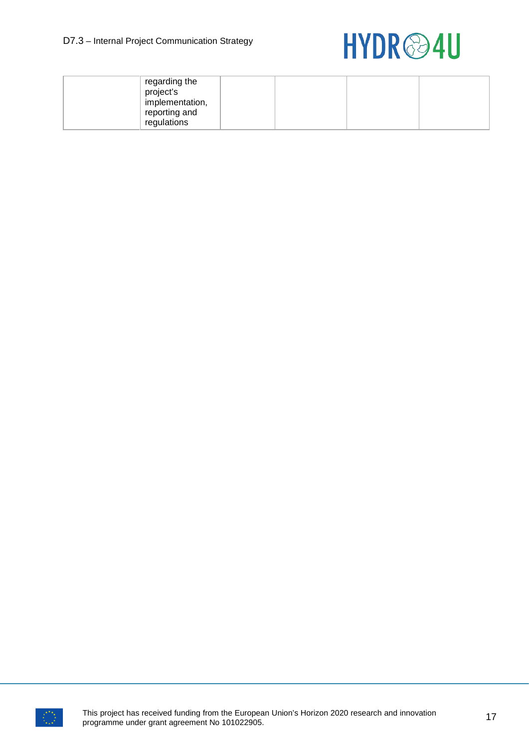

| regarding the<br>project's<br>implementation,<br>reporting and<br>regulations |  |  |
|-------------------------------------------------------------------------------|--|--|
|-------------------------------------------------------------------------------|--|--|

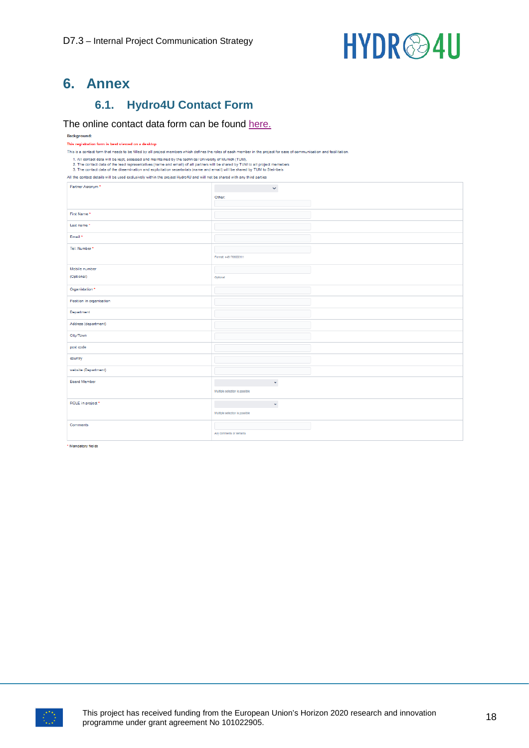

### <span id="page-17-0"></span>**6. Annex**

#### **6.1. Hydro4U Contact Form**

#### <span id="page-17-1"></span>The online contact data form can be found [here.](https://wiki.tum.de/display/bguwb/Hydro4U+Contact+form)

#### Background: This registration form is best viewed on a desktop This is a contact form that needs to be filled by all project members which defines the roles of each member in the project for ease of communication and facilitation 1. All contact data will be kept, accessed and maintained by the technical University of Munich (TUM).<br>2. The contact data of the lead representatives (name and email) of all partners will be shared by TUM to all project m All the contact details will be used exclusively within the project Hydro4U and will not be shared with any third parties Partner Acronym  $\sim$ Other: Eiret Name Last name Email\* Tel. Number Format: +4917690001111 Mobile numbe (Optional) .<br>Optional Organistation \* Position in organisation Department Address (department) City/Town post code country website (Department) Board Member  $\mathcal{O}(\mathcal{O}_\mathcal{O})$  . The set of  $\mathcal{O}_\mathcal{O}(\mathcal{O}_\mathcal{O})$ Multiple selection is possible ROLE in project  $\label{eq:2.1} \mathcal{L}(\mathcal{L}^{\text{max}}_{\mathcal{L}}(\mathcal{L}^{\text{max}}_{\mathcal{L}}),\mathcal{L}^{\text{max}}_{\mathcal{L}}(\mathcal{L}^{\text{max}}_{\mathcal{L}}))\leq \frac{1}{2}$ Multiple selection is possible Comments Any comments or remarks

\* Mandatory fields